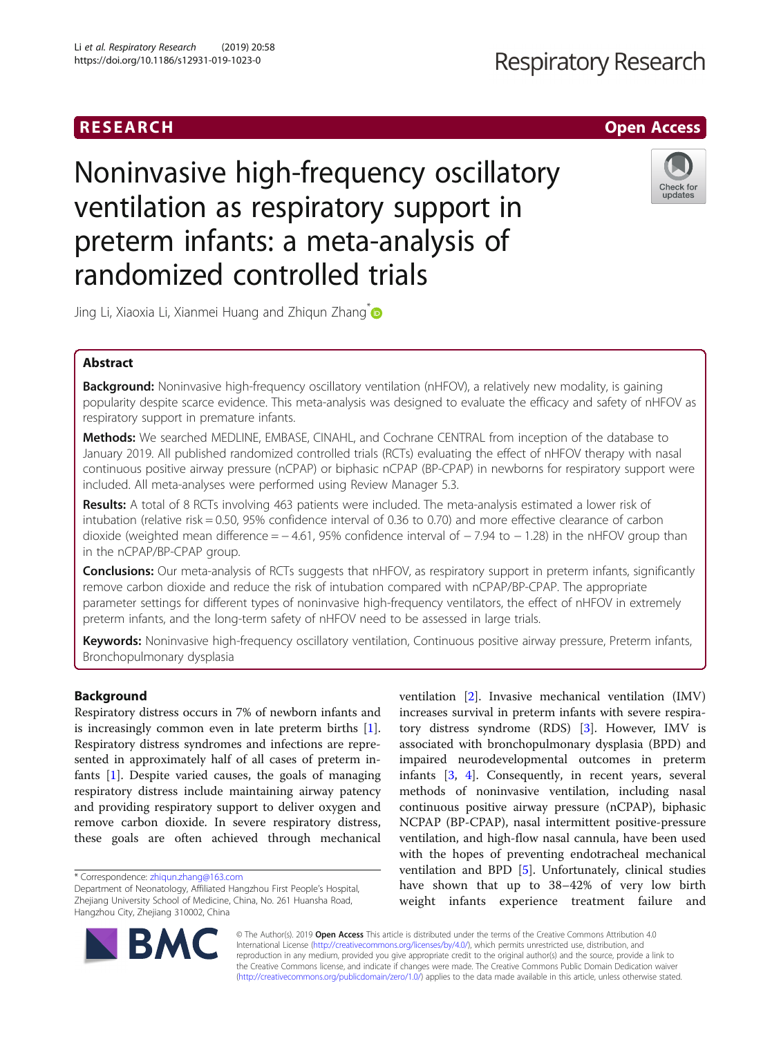## RESEARCH **RESEARCH CHOOSE ACCESS**

# Noninvasive high-frequency oscillatory ventilation as respiratory support in preterm infants: a meta-analysis of randomized controlled trials



Jing Li, Xiaoxia Li, Xianmei Huang and Zhiqun Zhang<sup>\*</sup>

### Abstract

Background: Noninvasive high-frequency oscillatory ventilation (nHFOV), a relatively new modality, is gaining popularity despite scarce evidence. This meta-analysis was designed to evaluate the efficacy and safety of nHFOV as respiratory support in premature infants.

Methods: We searched MEDLINE, EMBASE, CINAHL, and Cochrane CENTRAL from inception of the database to January 2019. All published randomized controlled trials (RCTs) evaluating the effect of nHFOV therapy with nasal continuous positive airway pressure (nCPAP) or biphasic nCPAP (BP-CPAP) in newborns for respiratory support were included. All meta-analyses were performed using Review Manager 5.3.

Results: A total of 8 RCTs involving 463 patients were included. The meta-analysis estimated a lower risk of intubation (relative risk = 0.50, 95% confidence interval of 0.36 to 0.70) and more effective clearance of carbon dioxide (weighted mean difference =  $-4.61$ , 95% confidence interval of  $-7.94$  to  $-1.28$ ) in the nHFOV group than in the nCPAP/BP-CPAP group.

**Conclusions:** Our meta-analysis of RCTs suggests that nHFOV, as respiratory support in preterm infants, significantly remove carbon dioxide and reduce the risk of intubation compared with nCPAP/BP-CPAP. The appropriate parameter settings for different types of noninvasive high-frequency ventilators, the effect of nHFOV in extremely preterm infants, and the long-term safety of nHFOV need to be assessed in large trials.

Keywords: Noninvasive high-frequency oscillatory ventilation, Continuous positive airway pressure, Preterm infants, Bronchopulmonary dysplasia

#### Background

Respiratory distress occurs in 7% of newborn infants and is increasingly common even in late preterm births [\[1](#page-8-0)]. Respiratory distress syndromes and infections are represented in approximately half of all cases of preterm infants [\[1\]](#page-8-0). Despite varied causes, the goals of managing respiratory distress include maintaining airway patency and providing respiratory support to deliver oxygen and remove carbon dioxide. In severe respiratory distress, these goals are often achieved through mechanical

ventilation [[2\]](#page-8-0). Invasive mechanical ventilation (IMV) increases survival in preterm infants with severe respiratory distress syndrome (RDS) [\[3](#page-8-0)]. However, IMV is associated with bronchopulmonary dysplasia (BPD) and impaired neurodevelopmental outcomes in preterm infants [[3,](#page-8-0) [4\]](#page-8-0). Consequently, in recent years, several methods of noninvasive ventilation, including nasal continuous positive airway pressure (nCPAP), biphasic NCPAP (BP-CPAP), nasal intermittent positive-pressure ventilation, and high-flow nasal cannula, have been used with the hopes of preventing endotracheal mechanical ventilation and BPD [\[5](#page-8-0)]. Unfortunately, clinical studies have shown that up to 38–42% of very low birth weight infants experience treatment failure and



© The Author(s). 2019 **Open Access** This article is distributed under the terms of the Creative Commons Attribution 4.0 International License [\(http://creativecommons.org/licenses/by/4.0/](http://creativecommons.org/licenses/by/4.0/)), which permits unrestricted use, distribution, and reproduction in any medium, provided you give appropriate credit to the original author(s) and the source, provide a link to the Creative Commons license, and indicate if changes were made. The Creative Commons Public Domain Dedication waiver [\(http://creativecommons.org/publicdomain/zero/1.0/](http://creativecommons.org/publicdomain/zero/1.0/)) applies to the data made available in this article, unless otherwise stated.

<sup>\*</sup> Correspondence: [zhiqun.zhang@163.com](mailto:zhiqun.zhang@163.com)

Department of Neonatology, Affiliated Hangzhou First People's Hospital, Zhejiang University School of Medicine, China, No. 261 Huansha Road, Hangzhou City, Zhejiang 310002, China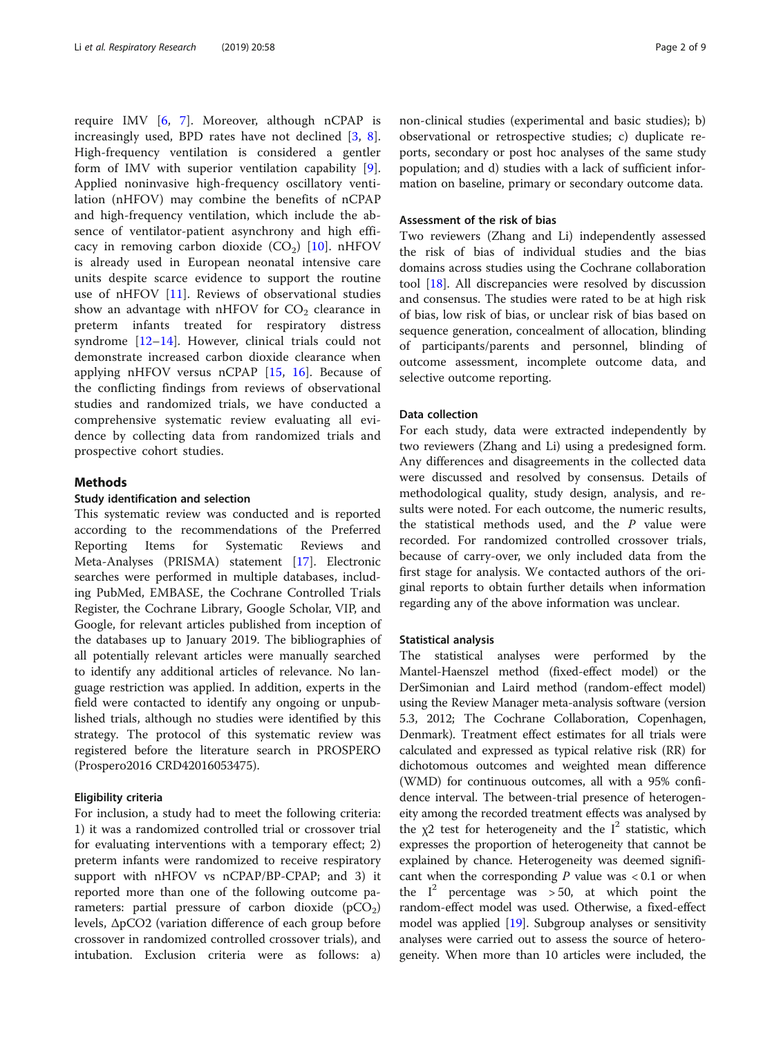require IMV [[6](#page-8-0), [7](#page-8-0)]. Moreover, although nCPAP is increasingly used, BPD rates have not declined [\[3](#page-8-0), [8](#page-8-0)]. High-frequency ventilation is considered a gentler form of IMV with superior ventilation capability [\[9](#page-8-0)]. Applied noninvasive high-frequency oscillatory ventilation (nHFOV) may combine the benefits of nCPAP and high-frequency ventilation, which include the absence of ventilator-patient asynchrony and high efficacy in removing carbon dioxide  $(CO<sub>2</sub>)$  [\[10](#page-8-0)]. nHFOV is already used in European neonatal intensive care units despite scarce evidence to support the routine use of nHFOV [[11\]](#page-8-0). Reviews of observational studies show an advantage with nHFOV for  $CO<sub>2</sub>$  clearance in preterm infants treated for respiratory distress syndrome [\[12](#page-8-0)–[14](#page-8-0)]. However, clinical trials could not demonstrate increased carbon dioxide clearance when applying nHFOV versus nCPAP [\[15](#page-8-0), [16\]](#page-8-0). Because of the conflicting findings from reviews of observational studies and randomized trials, we have conducted a comprehensive systematic review evaluating all evidence by collecting data from randomized trials and prospective cohort studies.

#### **Methods**

#### Study identification and selection

This systematic review was conducted and is reported according to the recommendations of the Preferred Reporting Items for Systematic Reviews and Meta-Analyses (PRISMA) statement [\[17](#page-8-0)]. Electronic searches were performed in multiple databases, including PubMed, EMBASE, the Cochrane Controlled Trials Register, the Cochrane Library, Google Scholar, VIP, and Google, for relevant articles published from inception of the databases up to January 2019. The bibliographies of all potentially relevant articles were manually searched to identify any additional articles of relevance. No language restriction was applied. In addition, experts in the field were contacted to identify any ongoing or unpublished trials, although no studies were identified by this strategy. The protocol of this systematic review was registered before the literature search in PROSPERO (Prospero2016 CRD42016053475).

#### Eligibility criteria

For inclusion, a study had to meet the following criteria: 1) it was a randomized controlled trial or crossover trial for evaluating interventions with a temporary effect; 2) preterm infants were randomized to receive respiratory support with nHFOV vs nCPAP/BP-CPAP; and 3) it reported more than one of the following outcome parameters: partial pressure of carbon dioxide  $(pCO<sub>2</sub>)$ levels, ΔpCO2 (variation difference of each group before crossover in randomized controlled crossover trials), and intubation. Exclusion criteria were as follows: a) non-clinical studies (experimental and basic studies); b) observational or retrospective studies; c) duplicate reports, secondary or post hoc analyses of the same study population; and d) studies with a lack of sufficient information on baseline, primary or secondary outcome data.

#### Assessment of the risk of bias

Two reviewers (Zhang and Li) independently assessed the risk of bias of individual studies and the bias domains across studies using the Cochrane collaboration tool [[18\]](#page-8-0). All discrepancies were resolved by discussion and consensus. The studies were rated to be at high risk of bias, low risk of bias, or unclear risk of bias based on sequence generation, concealment of allocation, blinding of participants/parents and personnel, blinding of outcome assessment, incomplete outcome data, and selective outcome reporting.

#### Data collection

For each study, data were extracted independently by two reviewers (Zhang and Li) using a predesigned form. Any differences and disagreements in the collected data were discussed and resolved by consensus. Details of methodological quality, study design, analysis, and results were noted. For each outcome, the numeric results, the statistical methods used, and the  $P$  value were recorded. For randomized controlled crossover trials, because of carry-over, we only included data from the first stage for analysis. We contacted authors of the original reports to obtain further details when information regarding any of the above information was unclear.

#### Statistical analysis

The statistical analyses were performed by the Mantel-Haenszel method (fixed-effect model) or the DerSimonian and Laird method (random-effect model) using the Review Manager meta-analysis software (version 5.3, 2012; The Cochrane Collaboration, Copenhagen, Denmark). Treatment effect estimates for all trials were calculated and expressed as typical relative risk (RR) for dichotomous outcomes and weighted mean difference (WMD) for continuous outcomes, all with a 95% confidence interval. The between-trial presence of heterogeneity among the recorded treatment effects was analysed by the  $\chi$ 2 test for heterogeneity and the I<sup>2</sup> statistic, which expresses the proportion of heterogeneity that cannot be explained by chance. Heterogeneity was deemed significant when the corresponding  $P$  value was  $< 0.1$  or when the  $I^2$  percentage was > 50, at which point the random-effect model was used. Otherwise, a fixed-effect model was applied [[19](#page-8-0)]. Subgroup analyses or sensitivity analyses were carried out to assess the source of heterogeneity. When more than 10 articles were included, the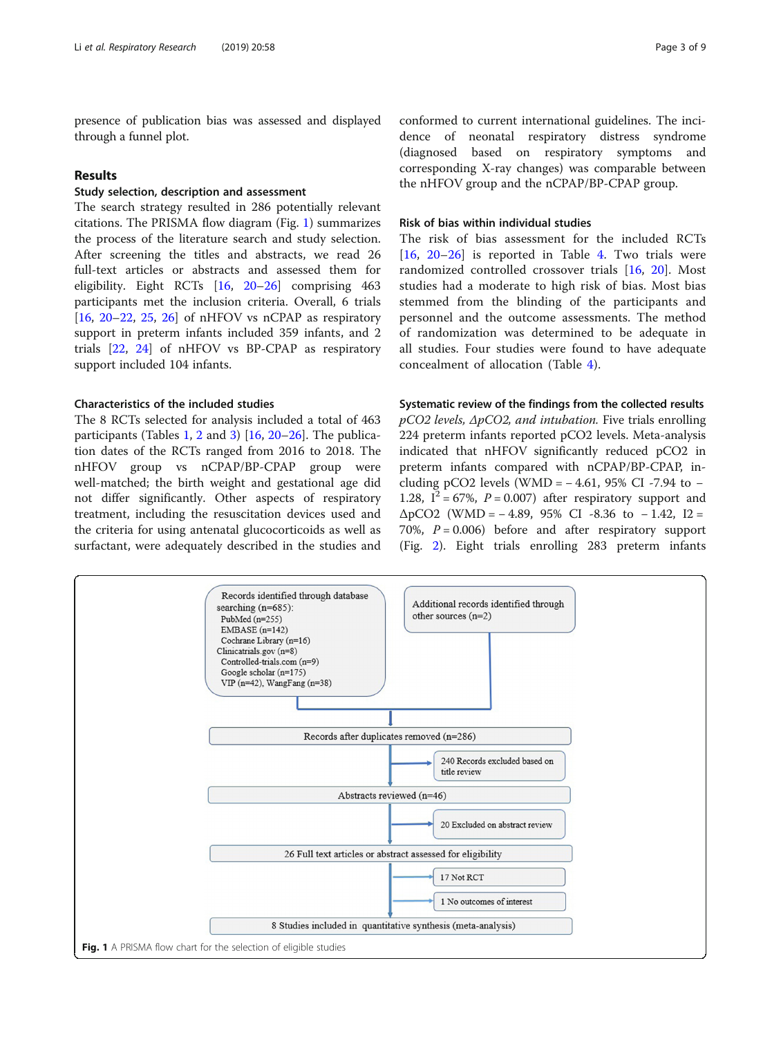presence of publication bias was assessed and displayed through a funnel plot.

#### Results

#### Study selection, description and assessment

The search strategy resulted in 286 potentially relevant citations. The PRISMA flow diagram (Fig. 1) summarizes the process of the literature search and study selection. After screening the titles and abstracts, we read 26 full-text articles or abstracts and assessed them for eligibility. Eight RCTs [\[16,](#page-8-0) [20](#page-8-0)–[26](#page-8-0)] comprising 463 participants met the inclusion criteria. Overall, 6 trials [[16,](#page-8-0) [20](#page-8-0)–[22](#page-8-0), [25](#page-8-0), [26](#page-8-0)] of nHFOV vs nCPAP as respiratory support in preterm infants included 359 infants, and 2 trials [[22,](#page-8-0) [24](#page-8-0)] of nHFOV vs BP-CPAP as respiratory support included 104 infants.

#### Characteristics of the included studies

The 8 RCTs selected for analysis included a total of 463 participants (Tables [1,](#page-3-0) [2](#page-4-0) and [3](#page-5-0)) [[16,](#page-8-0) [20](#page-8-0)–[26](#page-8-0)]. The publication dates of the RCTs ranged from 2016 to 2018. The nHFOV group vs nCPAP/BP-CPAP group were well-matched; the birth weight and gestational age did not differ significantly. Other aspects of respiratory treatment, including the resuscitation devices used and the criteria for using antenatal glucocorticoids as well as surfactant, were adequately described in the studies and conformed to current international guidelines. The incidence of neonatal respiratory distress syndrome (diagnosed based on respiratory symptoms and corresponding X-ray changes) was comparable between the nHFOV group and the nCPAP/BP-CPAP group.

#### Risk of bias within individual studies

The risk of bias assessment for the included RCTs [[16,](#page-8-0) [20](#page-8-0)–[26\]](#page-8-0) is reported in Table [4.](#page-5-0) Two trials were randomized controlled crossover trials [[16,](#page-8-0) [20\]](#page-8-0). Most studies had a moderate to high risk of bias. Most bias stemmed from the blinding of the participants and personnel and the outcome assessments. The method of randomization was determined to be adequate in all studies. Four studies were found to have adequate concealment of allocation (Table [4\)](#page-5-0).

#### Systematic review of the findings from the collected results

 $pCO2$  levels,  $\Delta pCO2$ , and intubation. Five trials enrolling 224 preterm infants reported pCO2 levels. Meta-analysis indicated that nHFOV significantly reduced pCO2 in preterm infants compared with nCPAP/BP-CPAP, including pCO2 levels (WMD =  $-4.61$ , 95% CI -7.94 to  $-$ 1.28,  $I^2 = 67\%$ ,  $P = 0.007$ ) after respiratory support and  $\Delta pCO2$  (WMD = -4.89, 95% CI -8.36 to -1.42, I2 = 70%,  $P = 0.006$ ) before and after respiratory support (Fig. [2\)](#page-6-0). Eight trials enrolling 283 preterm infants

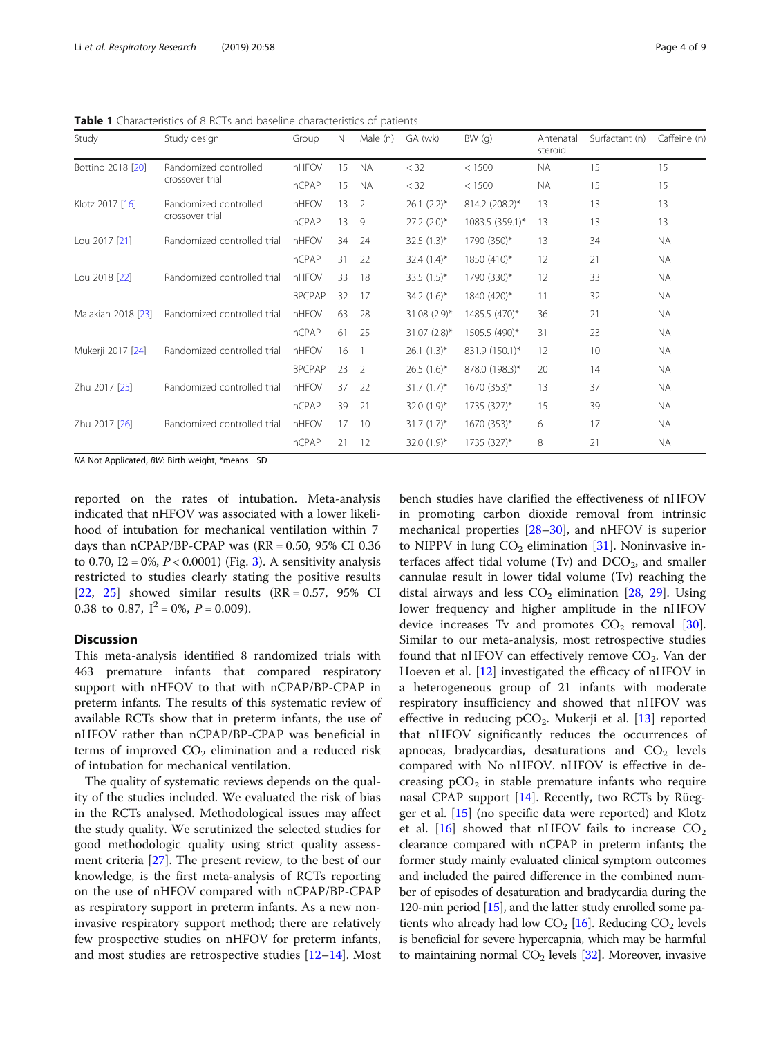<span id="page-3-0"></span>Table 1 Characteristics of 8 RCTs and baseline characteristics of patients

| Study              | Study design                | Group         | Ν  | Male (n)       | GA (wk)          | BW(q)           | Antenatal<br>steroid | Surfactant (n) | Caffeine (n) |
|--------------------|-----------------------------|---------------|----|----------------|------------------|-----------------|----------------------|----------------|--------------|
| Bottino 2018 [20]  | Randomized controlled       | nHFOV         | 15 | <b>NA</b>      | < 32             | < 1500          | <b>NA</b>            | 15             | 15           |
| crossover trial    |                             | nCPAP         | 15 | <b>NA</b>      | $<$ 32           | < 1500          | <b>NA</b>            | 15             | 15           |
| Klotz 2017 [16]    | Randomized controlled       | nHFOV         | 13 | 2              | $26.1 (2.2)^*$   | 814.2 (208.2)*  | 13                   | 13             | 13           |
|                    | crossover trial             | nCPAP         | 13 | 9              | $27.2$ $(2.0)$ * | 1083.5 (359.1)* | 13                   | 13             | 13           |
| Lou 2017 [21]      | Randomized controlled trial | nHFOV         | 34 | 24             | $32.5(1.3)^*$    | 1790 (350)*     | 13                   | 34             | <b>NA</b>    |
|                    |                             | nCPAP         | 31 | 22             | 32.4 $(1.4)^*$   | 1850 (410)*     | 12                   | 21             | NA.          |
| Lou 2018 [22]      | Randomized controlled trial | nHFOV         | 33 | 18             | 33.5 $(1.5)^*$   | 1790 (330)*     | 12                   | 33             | <b>NA</b>    |
|                    |                             | <b>BPCPAP</b> | 32 | 17             | 34.2 $(1.6)^*$   | 1840 (420)*     | 11                   | 32             | <b>NA</b>    |
| Malakian 2018 [23] | Randomized controlled trial | nHFOV         | 63 | 28             | 31.08 (2.9)*     | 1485.5 (470)*   | 36                   | 21             | <b>NA</b>    |
|                    |                             | nCPAP         | 61 | 25             | 31.07 (2.8)*     | 1505.5 (490)*   | 31                   | 23             | <b>NA</b>    |
| Mukerji 2017 [24]  | Randomized controlled trial | nHFOV         | 16 |                | $26.1(1.3)^{*}$  | 831.9 (150.1)*  | 12                   | 10             | <b>NA</b>    |
|                    |                             | <b>BPCPAP</b> | 23 | $\overline{2}$ | $26.5(1.6)^{*}$  | 878.0 (198.3)*  | 20                   | 14             | <b>NA</b>    |
| Zhu 2017 [25]      | Randomized controlled trial | nHFOV         | 37 | 22             | $31.7(1.7)^{*}$  | 1670 (353)*     | 13                   | 37             | <b>NA</b>    |
|                    |                             | nCPAP         | 39 | 21             | 32.0 $(1.9)^*$   | 1735 (327)*     | 15                   | 39             | <b>NA</b>    |
| Zhu 2017 [26]      | Randomized controlled trial | nHFOV         | 17 | 10             | $31.7(1.7)^{*}$  | 1670 (353)*     | 6                    | 17             | <b>NA</b>    |
|                    |                             | nCPAP         | 21 | 12             | 32.0 $(1.9)^*$   | 1735 (327)*     | 8                    | 21             | NA.          |

NA Not Applicated, BW: Birth weight, \*means ±SD

reported on the rates of intubation. Meta-analysis indicated that nHFOV was associated with a lower likelihood of intubation for mechanical ventilation within 7 days than  $nCPAP/BP-CPAP$  was  $(RR = 0.50, 95\% \text{ CI } 0.36$ to 0.70, I2 = 0%,  $P < 0.0001$ ) (Fig. [3](#page-6-0)). A sensitivity analysis restricted to studies clearly stating the positive results  $[22, 25]$  $[22, 25]$  $[22, 25]$  $[22, 25]$  showed similar results  $(RR = 0.57, 95\%$  CI 0.38 to 0.87,  $I^2 = 0\%$ ,  $P = 0.009$ ).

#### **Discussion**

This meta-analysis identified 8 randomized trials with 463 premature infants that compared respiratory support with nHFOV to that with nCPAP/BP-CPAP in preterm infants. The results of this systematic review of available RCTs show that in preterm infants, the use of nHFOV rather than nCPAP/BP-CPAP was beneficial in terms of improved  $CO<sub>2</sub>$  elimination and a reduced risk of intubation for mechanical ventilation.

The quality of systematic reviews depends on the quality of the studies included. We evaluated the risk of bias in the RCTs analysed. Methodological issues may affect the study quality. We scrutinized the selected studies for good methodologic quality using strict quality assessment criteria [\[27\]](#page-8-0). The present review, to the best of our knowledge, is the first meta-analysis of RCTs reporting on the use of nHFOV compared with nCPAP/BP-CPAP as respiratory support in preterm infants. As a new noninvasive respiratory support method; there are relatively few prospective studies on nHFOV for preterm infants, and most studies are retrospective studies [\[12](#page-8-0)–[14\]](#page-8-0). Most bench studies have clarified the effectiveness of nHFOV in promoting carbon dioxide removal from intrinsic mechanical properties [\[28](#page-8-0)–[30](#page-8-0)], and nHFOV is superior to NIPPV in lung  $CO<sub>2</sub>$  elimination [[31\]](#page-8-0). Noninvasive interfaces affect tidal volume (Tv) and  $DCO<sub>2</sub>$ , and smaller cannulae result in lower tidal volume (Tv) reaching the distal airways and less  $CO<sub>2</sub>$  elimination [\[28](#page-8-0), [29](#page-8-0)]. Using lower frequency and higher amplitude in the nHFOV device increases Tv and promotes  $CO<sub>2</sub>$  removal [\[30](#page-8-0)]. Similar to our meta-analysis, most retrospective studies found that nHFOV can effectively remove  $CO<sub>2</sub>$ . Van der Hoeven et al. [[12\]](#page-8-0) investigated the efficacy of nHFOV in a heterogeneous group of 21 infants with moderate respiratory insufficiency and showed that nHFOV was effective in reducing  $pCO<sub>2</sub>$ . Mukerji et al. [[13\]](#page-8-0) reported that nHFOV significantly reduces the occurrences of apnoeas, bradycardias, desaturations and  $CO<sub>2</sub>$  levels compared with No nHFOV. nHFOV is effective in decreasing  $pCO<sub>2</sub>$  in stable premature infants who require nasal CPAP support [[14\]](#page-8-0). Recently, two RCTs by Rüegger et al. [\[15](#page-8-0)] (no specific data were reported) and Klotz et al. [[16\]](#page-8-0) showed that nHFOV fails to increase  $CO<sub>2</sub>$ clearance compared with nCPAP in preterm infants; the former study mainly evaluated clinical symptom outcomes and included the paired difference in the combined number of episodes of desaturation and bradycardia during the 120-min period [[15](#page-8-0)], and the latter study enrolled some patients who already had low  $CO<sub>2</sub>$  [\[16](#page-8-0)]. Reducing  $CO<sub>2</sub>$  levels is beneficial for severe hypercapnia, which may be harmful to maintaining normal  $CO<sub>2</sub>$  levels [\[32\]](#page-8-0). Moreover, invasive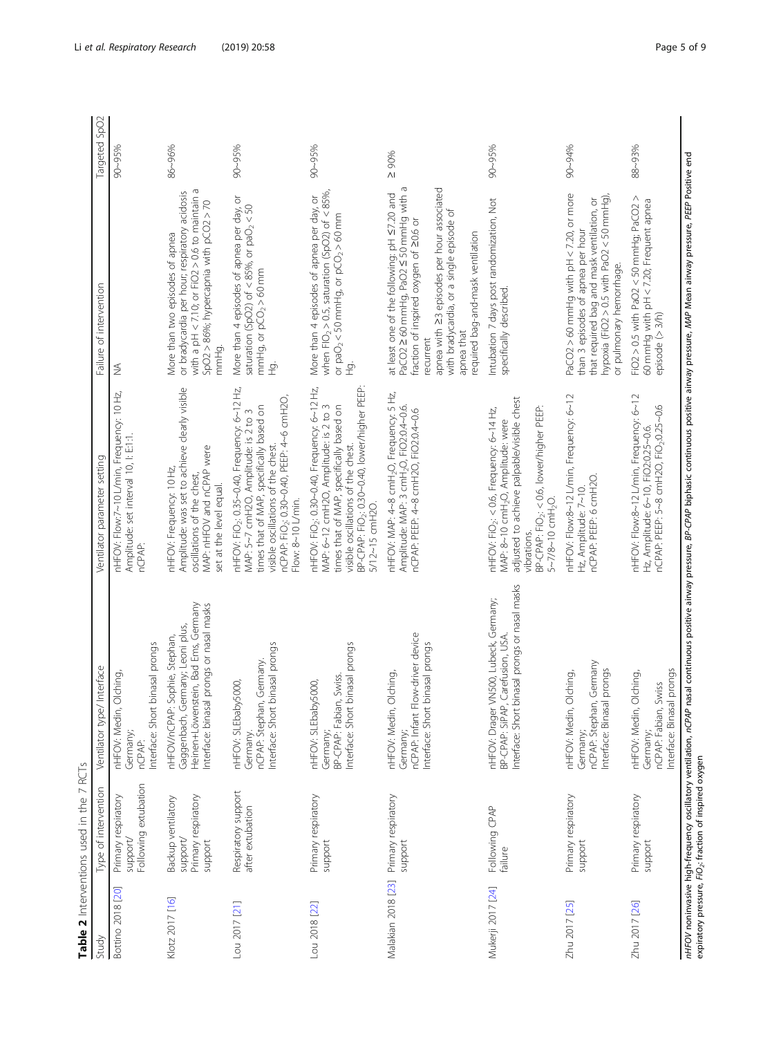<span id="page-4-0"></span>

|                    | Table 2 Interventions used in the 7 RCTs                        |                                                                                                                                                                                      |                                                                                                                                                                                                                                                                    |                                                                                                                                                                                                                                                                                           |               |
|--------------------|-----------------------------------------------------------------|--------------------------------------------------------------------------------------------------------------------------------------------------------------------------------------|--------------------------------------------------------------------------------------------------------------------------------------------------------------------------------------------------------------------------------------------------------------------|-------------------------------------------------------------------------------------------------------------------------------------------------------------------------------------------------------------------------------------------------------------------------------------------|---------------|
| Study              | Type of intervention                                            | Interface<br>Ventilator type/                                                                                                                                                        | Ventilator parameter setting                                                                                                                                                                                                                                       | Failure of intervention                                                                                                                                                                                                                                                                   | Targeted SpO2 |
| Bottino 2018 [20]  | Following extubation<br>Primary respiratory<br>support          | binasal prongs<br>Olching,<br>Interface: Short<br>nHFOV: Medin,<br>Germany;<br>nCPAP:                                                                                                | nHFOV: Flow:7~10 L/min, Frequency: 10 Hz,<br>Amplitude: set interval 10, l: E11.<br>nCPAP:                                                                                                                                                                         | ≸                                                                                                                                                                                                                                                                                         | 90~95%        |
| Klotz 2017 [16]    | Primary respiratory<br>Backup ventilatory<br>/apodns<br>support | Heinen+Löwenstein, Bad Ems, Germany<br>Interface: binasal prongs or nasal masks<br>Gaggenbach, Germany; Leoni plus,<br>Sophie, Stephan,<br>nHFOV/nCPAP:                              | Amplitude: was set to achieve clearly visible<br>MAP: nHFOV and nCPAP were<br>nHFOV: Frequency: 10 Hz,<br>oscillations of the chest,<br>set at the level equal.                                                                                                    | with a pH $<$ 7.10; or FiO2 $>$ 0.6 to maintain a<br>or bradycardia per hour; respiratory acidosis<br>SpO2 > 86%; hypercapnia with pCO2 > 70<br>More than two episodes of apnea<br>mmHg.                                                                                                  | 86~96%        |
| Lou 2017 [21]      | Respiratory support<br>after extubation                         | nterface: Short binasal prongs<br>nCPAP: Stephan, Germany.<br>nHFOV: SLEbaby5000,<br>Germany.                                                                                        | nHFOV: FiO <sub>2</sub> : 0.35~0.40, Frequency: 6~12 Hz,<br>nCPAP: FiO <sub>2</sub> : 0.30~0.40, PEEP: 4~6 cmH2O,<br>times that of MAP, specifically based on<br>MAP: 5~7 cmH2O, Amplitude: is 2 to 3<br>visible oscillations of the chest.<br>Flow: 8~10 L/min.   | More than 4 episodes of apnea per day, or<br>saturation (SpO2) of < 85%, or paO <sub>2</sub> < 50<br>mmHg, or $pCO2 > 60$ mm<br>ġ                                                                                                                                                         | $90 - 95%$    |
| Lou 2018 [22]      | Primary respiratory<br>support                                  | Interface: Short binasal prongs<br>BP-CPAP: Fabian, Swiss.<br>nHFOV: SLEbaby5000,<br>Germany;                                                                                        | BP-CPAP: FiO <sub>2</sub> : 0.30~0.40, lower/higher PEEP:<br>nHFOV: FiO <sub>2</sub> : 0.30~0.40, Frequency: 6~12 Hz,<br>MAP: 6~12 cmH2O, Amplitude: is 2 to 3<br>times that of MAP, specifically based on<br>visible oscillations of the chest.<br>5/12~15 cmH2O. | when $FO_2 > 0.5$ , saturation (SpO2) of < 85%<br>More than 4 episodes of apnea per day, or<br>or $paO2 < 50$ mmHg, or $pCO2 > 60$ mm<br>ġ                                                                                                                                                | 90~95%        |
| Malakian 2018 [23] | Primary respiratory<br>support                                  | nCPAP: Infant Flow-driver device<br>binasal prongs<br>Olching,<br>Interface: Short<br>nHFOV: Medin,<br>Germany;                                                                      | nHFOV: MAP: 4~8 cmH <sub>2</sub> O, Frequency: 5 Hz,<br>Amplitude: MAP: 3 cmH <sub>2</sub> O, FiO2:0.4~0.6.<br>nCPAP: PEEP: 4~8 cmH2O, FiO2:0.4~0.6                                                                                                                | PaCO2 ≥ 60 mmHg, PaO2 ≤ 50 mmHg with a<br>apnea with 23 episodes per hour associated<br>at least one of the following: pH S7.20 and<br>with bradycardia, or a single episode of<br>fraction of inspired oxygen of 20.6 or<br>required bag-and-mask ventilation<br>apnea that<br>recurrent | $\geq 90\%$   |
| Mukerji 2017 [24]  | Following CPAP<br>failure                                       | binasal prongs or nasal masks<br>VN500, Lubeck, Germany;<br>Carefusion, USA.<br>nHFOV: Drager V<br>BP-CPAP: SIPAP,<br>Interface: Short                                               | adjusted to achieve palpable/visible chest<br>BP-CPAP: FiO <sub>2</sub> : < 0.6, lower/higher PEEP:<br>nHFOV: FiO2: < 0.6, Frequency: 6~14 Hz,<br>MAP: 8~10 cmH <sub>2</sub> O, Amplitude: were<br>5~7/8~10 cmH <sub>2</sub> O.<br>vibrations.                     | Intubation 7 days post randomization, Not<br>specifically described.                                                                                                                                                                                                                      | 90~95%        |
| Zhu 2017 [25]      | Primary respiratory<br>support                                  | nCPAP: Śtephan, Germany<br>Interface: Binasal prongs<br>Olching,<br>nHFOV: Medin,<br>Germany;                                                                                        | nHFOV: Flow:8~12 L/min, Frequency: 6~12<br>nCPAP: PEEP: 6 cmH2O.<br>Hz, Amplitude: 7~10.                                                                                                                                                                           | PaCO2 > 60 mmHg with pH < 7.20, or more<br>hypoxia (FiO2 > 0.5 with PaO2 < 50 mmHg),<br>that required bag and mask ventilation, or<br>than 3 episodes of apnea per hour<br>or pulmonary hemorrhage.                                                                                       | 90~94%        |
| Zhu 2017 [26]      | Primary respiratory<br>support                                  | al prongs<br>Olching,<br>Swiss<br>nterface: Binasa<br>nHFOV: Medin,<br>nCPAP: Fabian,<br>Germany;                                                                                    | nHFOV: Flow:8~12 L/min, Frequency: 6~12<br>nCPAP: PEEP: 5~8 cmH2O, FiO2:0.25~0.6<br>Hz, Amplitude: 6~10, FiO2:0.25~0.6.                                                                                                                                            | FiO2 > 0.5 with PaO2 < 50 mmHg; PaCO2 ><br>60 mmHg with pH < 7.20; Frequent apnea<br>episode (> 3/h)                                                                                                                                                                                      | 88~93%        |
|                    |                                                                 | nHFOV noninvasive high-frequency oscillatory ventilation, nCPAP nasal continuous positive airway assure airous positive airway pressure, MAP Mean airway pressure, PEEP Positive end |                                                                                                                                                                                                                                                                    |                                                                                                                                                                                                                                                                                           |               |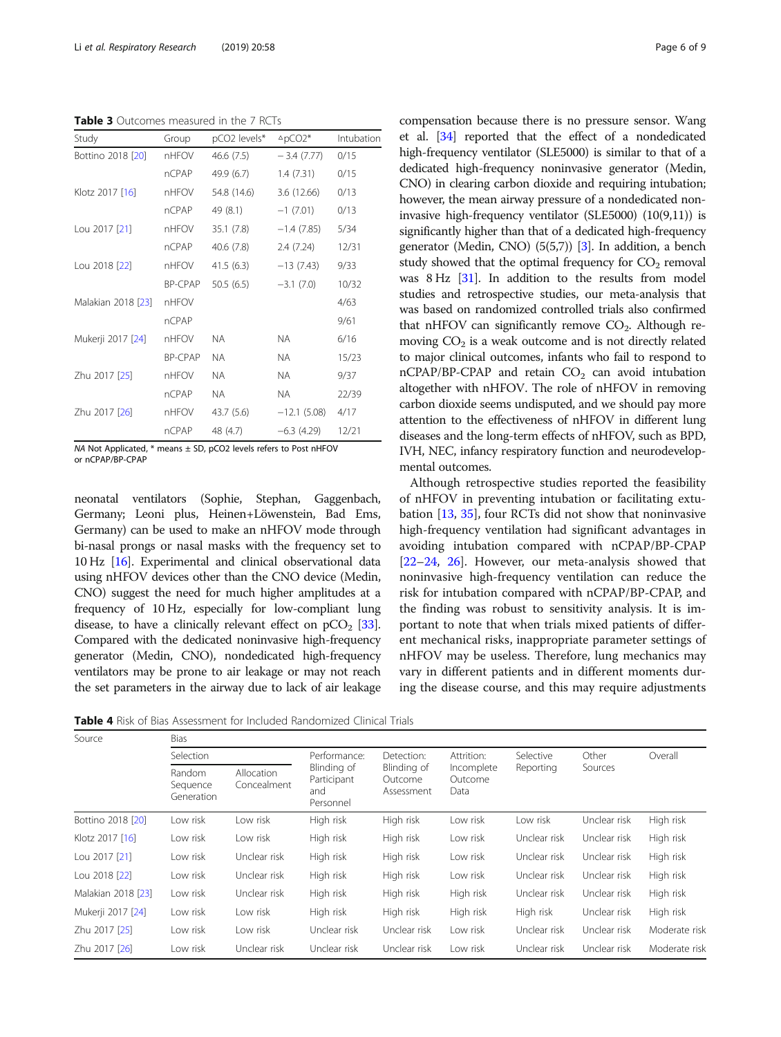<span id="page-5-0"></span>Table 3 Outcomes measured in the 7 RCTs

| Study              | Group          | pCO2 levels* | $^{\Delta}$ pCO2* | Intubation |
|--------------------|----------------|--------------|-------------------|------------|
| Bottino 2018 [20]  | nHFOV          | 46.6 (7.5)   | $-3.4(7.77)$      | 0/15       |
|                    | nCPAP          | 49.9 (6.7)   | 1.4(7.31)         | 0/15       |
| Klotz 2017 [16]    | nHFOV          | 54.8 (14.6)  | 3.6 (12.66)       | 0/13       |
|                    | nCPAP          | 49 (8.1)     | $-1(7.01)$        | 0/13       |
| Lou 2017 [21]      | nHFOV          | 35.1(7.8)    | $-1.4(7.85)$      | 5/34       |
|                    | nCPAP          | 40.6 (7.8)   | 2.4(7.24)         | 12/31      |
| Lou 2018 [22]      | nHFOV          | 41.5(6.3)    | $-13(7.43)$       | 9/33       |
|                    | <b>BP-CPAP</b> | 50.5(6.5)    | $-3.1(7.0)$       | 10/32      |
| Malakian 2018 [23] | nHFOV          |              |                   | 4/63       |
|                    | nCPAP          |              |                   | 9/61       |
| Mukerji 2017 [24]  | nHFOV          | NA.          | <b>NA</b>         | 6/16       |
|                    | <b>BP-CPAP</b> | NA.          | NA.               | 15/23      |
| Zhu 2017 [25]      | nHFOV          | <b>NA</b>    | <b>NA</b>         | 9/37       |
|                    | nCPAP          | NA.          | <b>NA</b>         | 22/39      |
| Zhu 2017 [26]      | nHFOV          | 43.7 (5.6)   | $-12.1(5.08)$     | 4/17       |
|                    | nCPAP          | 48 (4.7)     | $-6.3(4.29)$      | 12/21      |
|                    |                |              |                   |            |

NA Not Applicated, \* means ± SD, pCO2 levels refers to Post nHFOV or nCPAP/BP-CPAP

neonatal ventilators (Sophie Germany; Leoni plus, H Germany) can be used to n bi-nasal prongs or nasal m 10 Hz  $[16]$  $[16]$  $[16]$ . Experimental and clinical observational observations. using nHFOV devices other than the CNO device (Medin, CNO) suggest the need for much higher amplitudes at a frequency of 10 Hz, especially for low-compliant lung disease, to have a clinically relevant effect on  $pCO<sub>2</sub>$  [[33](#page-8-0)]. Compared with the dedicated noninvasive high-frequency generator (Medin, CNO), nondedicated high-frequency ventilators may be prone to air leakage or may not reach the set parameters in the airway due to lack of air leakage

Table 4 Risk of Bias Assessment for Included Randomized Clinical Trials

Source Bias

|                                           | TVTI, TVDO, INIQUIO, TOSPHATOL, TANCHONI QUA NOQUOQUVOIDP                                                       |
|-------------------------------------------|-----------------------------------------------------------------------------------------------------------------|
|                                           | mental outcomes.                                                                                                |
|                                           | Although retrospective studies reported the feasibility                                                         |
| phie, Stephan, Gaggenbach,                | of nHFOV in preventing intubation or facilitating extu-                                                         |
| einen+Löwenstein, Bad Ems,                | bation $[13, 35]$ , four RCTs did not show that noninvasive                                                     |
| nake an nHFOV mode through                | high-frequency ventilation had significant advantages in                                                        |
| asks with the frequency set to            | avoiding intubation compared with nCPAP/BP-CPAP                                                                 |
| and clinical observational data           | $[22-24, 26]$ . However, our meta-analysis showed that                                                          |
| $(1)$ $(1)$ $(2)$ $(2)$ $(3)$ $(4)$ $(1)$ | $\cdot$ , the contract of $\cdot$ , the contract of $\cdot$ , the contract of $\cdot$ , the contract of $\cdot$ |

noninvasive high-frequency ventilation can reduce the risk for intubation compared with nCPAP/BP-CPAP, and the finding was robust to sensitivity analysis. It is important to note that when trials mixed patients of different mechanical risks, inappropriate parameter settings of nHFOV may be useless. Therefore, lung mechanics may vary in different patients and in different moments during the disease course, and this may require adjustments

|                    | Selection                        |                           | Performance:                                   | Detection:                           | Attrition:                    | Selective    | Other        | Overall       |
|--------------------|----------------------------------|---------------------------|------------------------------------------------|--------------------------------------|-------------------------------|--------------|--------------|---------------|
|                    | Random<br>Sequence<br>Generation | Allocation<br>Concealment | Blinding of<br>Participant<br>and<br>Personnel | Blinding of<br>Outcome<br>Assessment | Incomplete<br>Outcome<br>Data | Reporting    | Sources      |               |
| Bottino 2018 [20]  | Low risk                         | Low risk                  | High risk                                      | High risk                            | Low risk                      | Low risk     | Unclear risk | High risk     |
| Klotz 2017 [16]    | Low risk                         | Low risk                  | High risk                                      | High risk                            | Low risk                      | Unclear risk | Unclear risk | High risk     |
| Lou 2017 [21]      | Low risk                         | Unclear risk              | High risk                                      | High risk                            | Low risk                      | Unclear risk | Unclear risk | High risk     |
| Lou 2018 [22]      | Low risk                         | Unclear risk              | High risk                                      | High risk                            | Low risk                      | Unclear risk | Unclear risk | High risk     |
| Malakian 2018 [23] | Low risk                         | Unclear risk              | High risk                                      | High risk                            | High risk                     | Unclear risk | Unclear risk | High risk     |
| Mukerji 2017 [24]  | Low risk                         | Low risk                  | High risk                                      | High risk                            | High risk                     | High risk    | Unclear risk | High risk     |
| Zhu 2017 [25]      | Low risk                         | Low risk                  | Unclear risk                                   | Unclear risk                         | Low risk                      | Unclear risk | Unclear risk | Moderate risk |
| Zhu 2017 [26]      | Low risk                         | Unclear risk              | Unclear risk                                   | Unclear risk                         | Low risk                      | Unclear risk | Unclear risk | Moderate risk |

compensation because there is no pressure sensor. Wang et al. [[34](#page-8-0)] reported that the effect of a nondedicated high-frequency ventilator (SLE5000) is similar to that of a dedicated high-frequency noninvasive generator (Medin, CNO) in clearing carbon dioxide and requiring intubation; however, the mean airway pressure of a nondedicated noninvasive high-frequency ventilator (SLE5000) (10(9,11)) is significantly higher than that of a dedicated high-frequency generator (Medin, CNO) (5(5,7)) [\[3](#page-8-0)]. In addition, a bench study showed that the optimal frequency for  $CO<sub>2</sub>$  removal was 8 Hz [\[31\]](#page-8-0). In addition to the results from model studies and retrospective studies, our meta-analysis that was based on randomized controlled trials also confirmed that nHFOV can significantly remove  $CO<sub>2</sub>$ . Although removing  $CO<sub>2</sub>$  is a weak outcome and is not directly related to major clinical outcomes, infants who fail to respond to  $nCPAP/BP-CPAP$  and retain  $CO<sub>2</sub>$  can avoid intubation altogether with nHFOV. The role of nHFOV in removing carbon dioxide seems undisputed, and we should pay more attention to the effectiveness of nHFOV in different lung diseases and the long-term effects of nHFOV, such as BPD, IVH, NEC, infancy respiratory function and neurodevelop-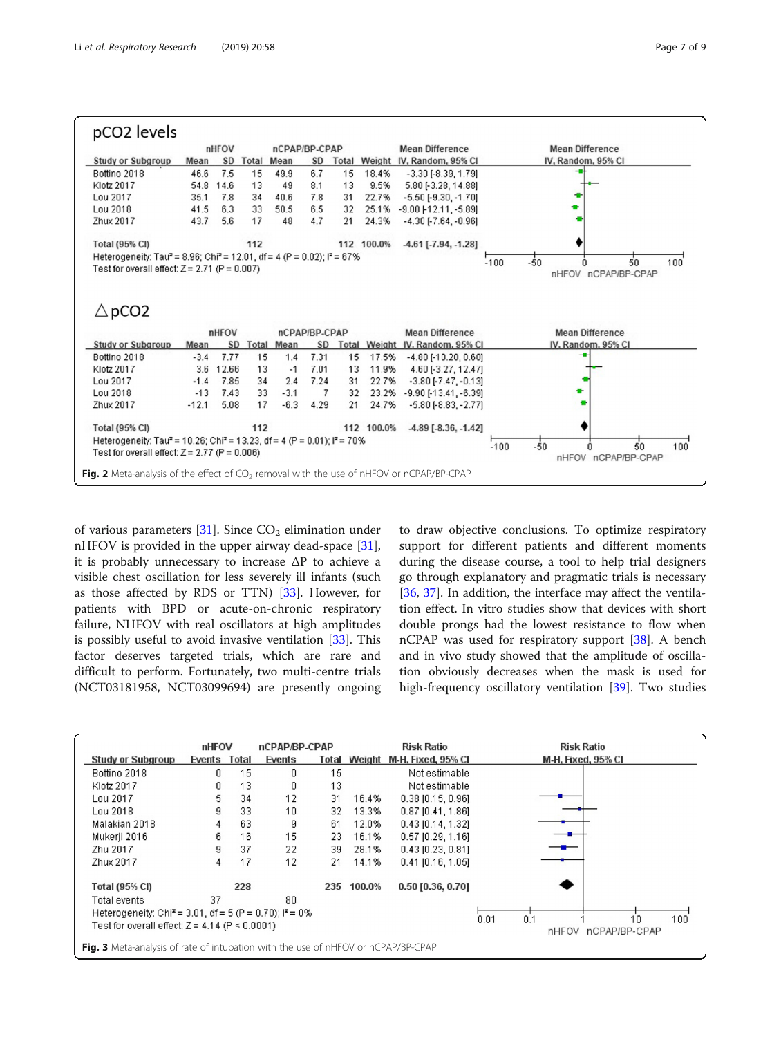<span id="page-6-0"></span>

|                                                                                                                                                              | pCO <sub>2</sub> levels |           |       |                   |               |       |            |                                 |                 |                        |    |     |
|--------------------------------------------------------------------------------------------------------------------------------------------------------------|-------------------------|-----------|-------|-------------------|---------------|-------|------------|---------------------------------|-----------------|------------------------|----|-----|
|                                                                                                                                                              |                         | nHFOV     |       | nCPAP/BP-CPAP     |               |       |            | <b>Mean Difference</b>          |                 | <b>Mean Difference</b> |    |     |
| <b>Study or Subgroup</b>                                                                                                                                     | Mean                    | <b>SD</b> | Total | Mean              | SD            | Total |            | Weight IV, Random, 95% CI       |                 | IV, Random, 95% CI     |    |     |
| Bottino 2018                                                                                                                                                 | 46.6                    | 7.5       | 15    | 49.9              | 6.7           | 15    | 18.4%      | $-3.30[-8.39, 1.79]$            |                 |                        |    |     |
| Klotz 2017                                                                                                                                                   | 54.8                    | 14.6      | 13    | 49                | 8.1           | 13    | 9.5%       | 5.80 [-3.28, 14.88]             |                 |                        |    |     |
| Lou 2017                                                                                                                                                     | 35.1                    | 7.8       | 34    | 40.6              | 7.8           | 31    | 22.7%      | $-5.50$ [ $-9.30$ , $-1.70$ ]   |                 |                        |    |     |
| Lou 2018                                                                                                                                                     | 41.5                    | 6.3       | 33    | 50.5              | 6.5           | 32    | 25.1%      | $-9.00$ [ $-12.11$ , $-5.89$ ]  |                 |                        |    |     |
| Zhux 2017                                                                                                                                                    | 43.7                    | 5.6       | 17    | 48                | 4.7           | 21    | 24.3%      | $-4.30$ [-7.64, -0.96]          |                 |                        |    |     |
| Total (95% CI)                                                                                                                                               |                         |           | 112   |                   |               |       | 112 100.0% | $-4.61$ [ $-7.94$ , $-1.28$ ]   |                 |                        |    |     |
| Heterogeneity: Tau <sup>2</sup> = 8.96; Chi <sup>2</sup> = 12.01, df = 4 (P = 0.02); l <sup>2</sup> = 67%<br>Test for overall effect: $Z = 2.71$ (P = 0.007) |                         |           |       |                   |               |       |            |                                 | $-50$<br>$-100$ | nHFOV nCPAP/BP-CPAP    | 50 | 100 |
| $\triangle$ pCO2                                                                                                                                             |                         | nHFOV     |       |                   | nCPAP/BP-CPAP |       |            | <b>Mean Difference</b>          |                 | <b>Mean Difference</b> |    |     |
| <b>Study or Subgroup</b>                                                                                                                                     | Mean                    | SD        |       | <b>Total Mean</b> | <b>SD</b>     |       |            | Total Weight IV, Random, 95% CI |                 | IV, Random, 95% CI     |    |     |
| Bottino 2018                                                                                                                                                 | $-3.4$                  | 7.77      | 15    | 1.4               | 7.31          | 15    | 17.5%      | $-4.80$ [ $-10.20$ , $0.60$ ]   |                 |                        |    |     |
| Klotz 2017                                                                                                                                                   | 3.6                     | 12.66     | 13    | $-1$              | 7.01          | 13    | 11.9%      | 4.60 [-3.27, 12.47]             |                 |                        |    |     |
| Lou 2017                                                                                                                                                     | $-1.4$                  | 7.85      | 34    | 2.4               | 7.24          | 31    | 22.7%      | $-3.80$ [ $-7.47$ , $-0.13$ ]   |                 |                        |    |     |
| Lou 2018                                                                                                                                                     | $-13$                   | 7.43      | 33    | $-3.1$            | 7             | 32    | 23.2%      | $-9.90$ [ $-13.41$ , $-6.39$ ]  |                 |                        |    |     |
| Zhux 2017                                                                                                                                                    | $-12.1$                 | 5.08      | 17    | $-6.3$            | 4.29          | 21    | 24.7%      | $-5.80$ $[-8.83, -2.77]$        |                 |                        |    |     |
| <b>Total (95% CI)</b>                                                                                                                                        |                         |           | 112   |                   |               |       | 112 100.0% | $-4.89$ [ $-8.36$ , $-1.42$ ]   |                 |                        |    |     |
| Heterogeneity: Tau <sup>2</sup> = 10.26; Chi <sup>2</sup> = 13.23, df = 4 (P = 0.01); $P = 70\%$<br>Test for overall effect: $Z = 2.77$ (P = 0.006)          |                         |           |       |                   |               |       |            |                                 | $-50$<br>$-100$ | nHFOV nCPAP/BP-CPAP    | 50 | 100 |

of various parameters  $[31]$  $[31]$ . Since  $CO<sub>2</sub>$  elimination under nHFOV is provided in the upper airway dead-space [\[31](#page-8-0)], it is probably unnecessary to increase ΔP to achieve a visible chest oscillation for less severely ill infants (such as those affected by RDS or TTN) [\[33\]](#page-8-0). However, for patients with BPD or acute-on-chronic respiratory failure, NHFOV with real oscillators at high amplitudes is possibly useful to avoid invasive ventilation [[33\]](#page-8-0). This factor deserves targeted trials, which are rare and difficult to perform. Fortunately, two multi-centre trials (NCT03181958, NCT03099694) are presently ongoing to draw objective conclusions. To optimize respiratory support for different patients and different moments during the disease course, a tool to help trial designers go through explanatory and pragmatic trials is necessary [[36,](#page-8-0) [37\]](#page-8-0). In addition, the interface may affect the ventilation effect. In vitro studies show that devices with short double prongs had the lowest resistance to flow when nCPAP was used for respiratory support [[38](#page-8-0)]. A bench and in vivo study showed that the amplitude of oscillation obviously decreases when the mask is used for high-frequency oscillatory ventilation [[39\]](#page-8-0). Two studies

|                                                                                          | nHFOV  |       | nCPAP/BP-CPAP |     |        | <b>Risk Ratio</b>               | <b>Risk Ratio</b>                                  |
|------------------------------------------------------------------------------------------|--------|-------|---------------|-----|--------|---------------------------------|----------------------------------------------------|
| <b>Study or Subgroup</b>                                                                 | Events | Total | Events        |     |        | Total Weight M-H, Fixed, 95% CI | M-H, Fixed, 95% CI                                 |
| Bottino 2018                                                                             | Ω      | 15    | 0             | 15  |        | Not estimable                   |                                                    |
| Klotz 2017                                                                               | 0      | 13    | 0             | 13  |        | Not estimable                   |                                                    |
| Lou 2017                                                                                 | 5.     | 34    | 12            | 31  | 16.4%  | $0.38$ [0.15, 0.96]             |                                                    |
| Lou 2018                                                                                 | g      | 33    | 10            | 32  | 13.3%  | $0.87$ [0.41, 1.86]             |                                                    |
| Malakian 2018                                                                            | 4      | 63    | 9             | 61  | 12.0%  | $0.43$ [0.14, 1.32]             |                                                    |
| Mukerii 2016                                                                             | 6      | 16    | 15            | 23  | 16.1%  | $0.57$ [0.29, 1.16]             |                                                    |
| Zhu 2017                                                                                 | g      | 37    | 22            | 39  | 28.1%  | $0.43$ [0.23, 0.81]             |                                                    |
| Zhux 2017                                                                                | 4      | 17    | 12            | 21  | 14.1%  | $0.41$ [0.16, 1.05]             |                                                    |
| <b>Total (95% CI)</b>                                                                    |        | 228   |               | 235 | 100.0% | $0.50$ [0.36, 0.70]             |                                                    |
| Total events                                                                             | 37     |       | 80            |     |        |                                 |                                                    |
| Heterogeneity: Chi <sup>2</sup> = 3.01, df = 5 (P = 0.70); $P = 0\%$                     |        |       |               |     |        |                                 |                                                    |
| Test for overall effect: $Z = 4.14$ (P < 0.0001)                                         |        |       |               |     |        |                                 | 0.1<br>0.01<br>100<br>10<br>nHFOV<br>nCPAP/BP-CPAP |
| <b>Fig. 3</b> Meta-analysis of rate of intubation with the use of nHFOV or nCPAP/BP-CPAP |        |       |               |     |        |                                 |                                                    |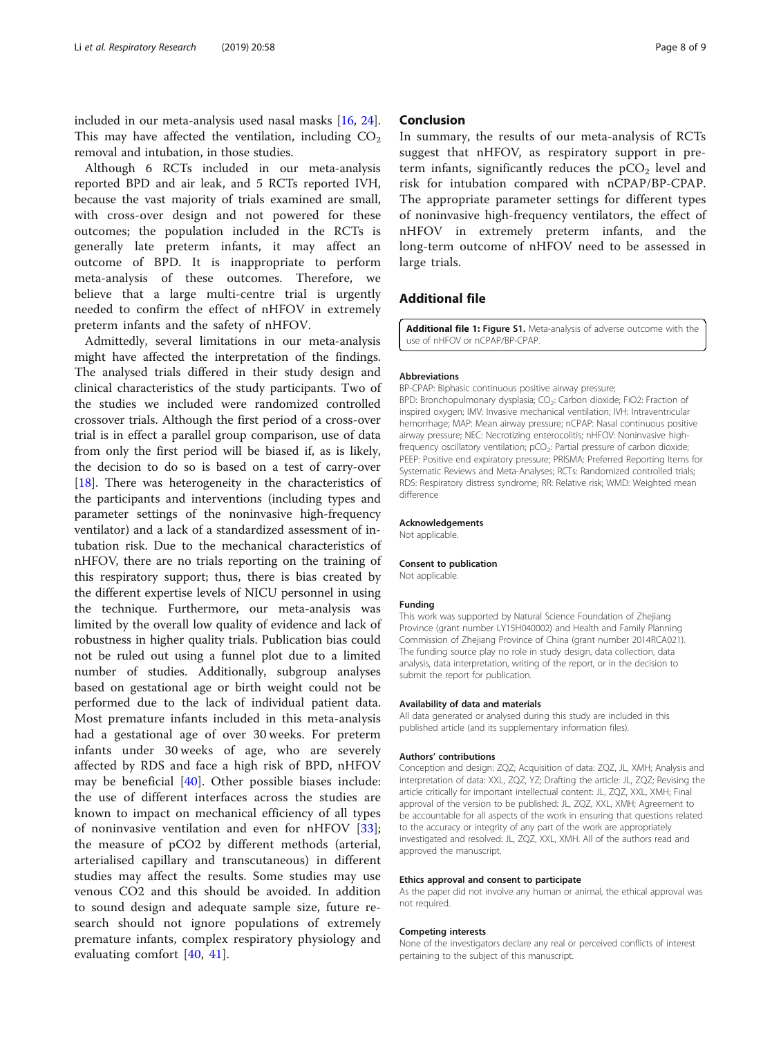included in our meta-analysis used nasal masks [\[16,](#page-8-0) [24](#page-8-0)]. This may have affected the ventilation, including  $CO<sub>2</sub>$ removal and intubation, in those studies.

Although 6 RCTs included in our meta-analysis reported BPD and air leak, and 5 RCTs reported IVH, because the vast majority of trials examined are small, with cross-over design and not powered for these outcomes; the population included in the RCTs is generally late preterm infants, it may affect an outcome of BPD. It is inappropriate to perform meta-analysis of these outcomes. Therefore, we believe that a large multi-centre trial is urgently needed to confirm the effect of nHFOV in extremely preterm infants and the safety of nHFOV.

Admittedly, several limitations in our meta-analysis might have affected the interpretation of the findings. The analysed trials differed in their study design and clinical characteristics of the study participants. Two of the studies we included were randomized controlled crossover trials. Although the first period of a cross-over trial is in effect a parallel group comparison, use of data from only the first period will be biased if, as is likely, the decision to do so is based on a test of carry-over [[18\]](#page-8-0). There was heterogeneity in the characteristics of the participants and interventions (including types and parameter settings of the noninvasive high-frequency ventilator) and a lack of a standardized assessment of intubation risk. Due to the mechanical characteristics of nHFOV, there are no trials reporting on the training of this respiratory support; thus, there is bias created by the different expertise levels of NICU personnel in using the technique. Furthermore, our meta-analysis was limited by the overall low quality of evidence and lack of robustness in higher quality trials. Publication bias could not be ruled out using a funnel plot due to a limited number of studies. Additionally, subgroup analyses based on gestational age or birth weight could not be performed due to the lack of individual patient data. Most premature infants included in this meta-analysis had a gestational age of over 30 weeks. For preterm infants under 30 weeks of age, who are severely affected by RDS and face a high risk of BPD, nHFOV may be beneficial [[40\]](#page-8-0). Other possible biases include: the use of different interfaces across the studies are known to impact on mechanical efficiency of all types of noninvasive ventilation and even for nHFOV [\[33](#page-8-0)]; the measure of pCO2 by different methods (arterial, arterialised capillary and transcutaneous) in different studies may affect the results. Some studies may use venous CO2 and this should be avoided. In addition to sound design and adequate sample size, future research should not ignore populations of extremely premature infants, complex respiratory physiology and evaluating comfort [\[40](#page-8-0), [41\]](#page-8-0).

#### Conclusion

In summary, the results of our meta-analysis of RCTs suggest that nHFOV, as respiratory support in preterm infants, significantly reduces the  $pCO<sub>2</sub>$  level and risk for intubation compared with nCPAP/BP-CPAP. The appropriate parameter settings for different types of noninvasive high-frequency ventilators, the effect of nHFOV in extremely preterm infants, and the long-term outcome of nHFOV need to be assessed in large trials.

#### Additional file

Additional file 1: Figure S1. Meta-analysis of adverse outcome with the use of nHFOV or nCPAP/BP-CPAP.

#### Abbreviations

BP-CPAP: Biphasic continuous positive airway pressure;

BPD: Bronchopulmonary dysplasia; CO<sub>2</sub>: Carbon dioxide; FiO2: Fraction of inspired oxygen; IMV: Invasive mechanical ventilation; IVH: Intraventricular hemorrhage; MAP: Mean airway pressure; nCPAP: Nasal continuous positive airway pressure; NEC: Necrotizing enterocolitis; nHFOV: Noninvasive highfrequency oscillatory ventilation; pCO<sub>2</sub>: Partial pressure of carbon dioxide; PEEP: Positive end expiratory pressure; PRISMA: Preferred Reporting Items for Systematic Reviews and Meta-Analyses; RCTs; Randomized controlled trials; RDS: Respiratory distress syndrome; RR: Relative risk; WMD: Weighted mean difference

#### Acknowledgements

Not applicable.

#### Consent to publication

Not applicable.

#### Funding

This work was supported by Natural Science Foundation of Zhejiang Province (grant number LY15H040002) and Health and Family Planning Commission of Zhejiang Province of China (grant number 2014RCA021). The funding source play no role in study design, data collection, data analysis, data interpretation, writing of the report, or in the decision to submit the report for publication.

#### Availability of data and materials

All data generated or analysed during this study are included in this published article (and its supplementary information files).

#### Authors' contributions

Conception and design: ZQZ; Acquisition of data: ZQZ, JL, XMH; Analysis and interpretation of data: XXL, ZQZ, YZ; Drafting the article: JL, ZQZ; Revising the article critically for important intellectual content: JL, ZQZ, XXL, XMH; Final approval of the version to be published: JL, ZQZ, XXL, XMH; Agreement to be accountable for all aspects of the work in ensuring that questions related to the accuracy or integrity of any part of the work are appropriately investigated and resolved: JL, ZQZ, XXL, XMH. All of the authors read and approved the manuscript.

#### Ethics approval and consent to participate

As the paper did not involve any human or animal, the ethical approval was not required.

#### Competing interests

None of the investigators declare any real or perceived conflicts of interest pertaining to the subject of this manuscript.